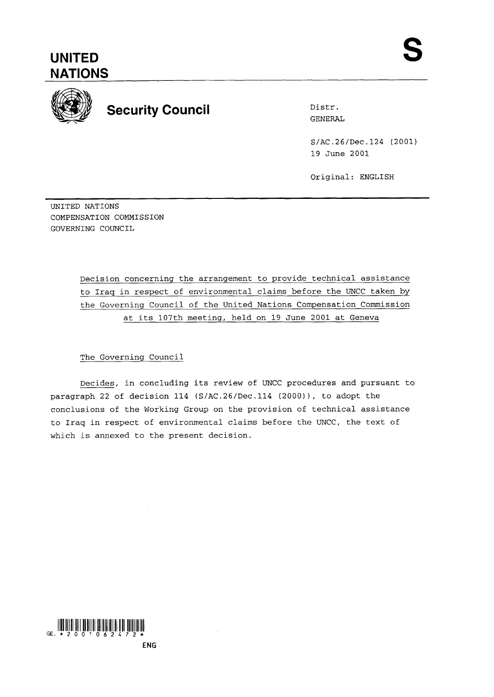## **UNITED NATIONS**



# **Security Council** Distr.

GENERAL

S/AC.26/Dec. 124 (2001) 19 June 2001

Original: ENGLISH

UNITED NATIONS COMPENSATION COMMISSION GOVERNING COUNCIL

> Decision concerning the arrangement to provide technical assistance to Iraq in respect of environmental claims before the UNCC taken by the Governing Council of the United Nations Compensation Commission at its 107th meeting, held on 19 June 2001 at Geneva

#### The Governing Council

Decides, in concluding its review of UNCC procedures and pursuant to paragraph 22 of decision 114 (S/AC.26/Dec.114 (2000)), to adopt the conclusions of the Working Group on the provision of technical assistance to Iraq in respect of environmental claims before the UNCC, the text of which is annexed to the present decision.



**ENG**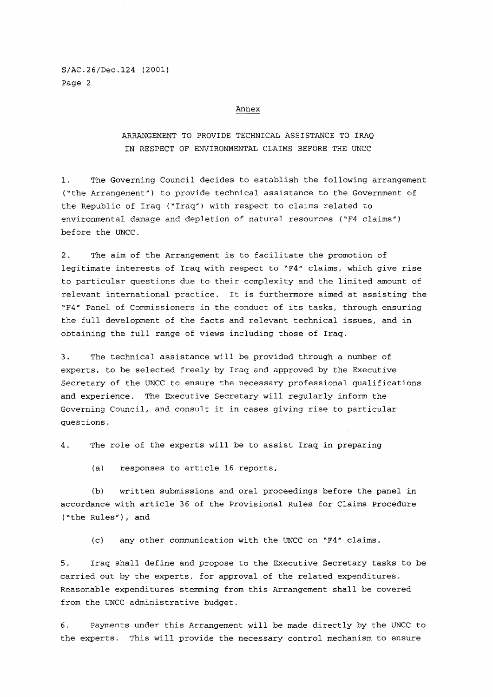S/AC.26/Dec.124 (2001) Page 2

#### Annex

### ARRANGEMENT TO PROVIDE TECHNICAL ASSISTANCE TO IRAQ IN RESPECT OF ENVIRONMENTAL CLAIMS BEFORE THE UNCC

1. The Governing Council decides to establish the following arrangement ('the Arrangement") to provide technical assistance to the Government of the Republic of Iraq ('Iraq") with respect to claims related to environmental damage and depletion of natural resources ("F4 claims") before the UNCC.

2. The aim of the Arrangement is to facilitate the promotion of legitimate interests of Iraq with respect to 'F4" claims, which give rise to particular questions due to their complexity and the limited amount of relevant international practice. It is furthermore aimed at assisting the "F4" Panel of Commissioners in the conduct of its tasks, through ensuring the full development of the facts and relevant technical issues, and in obtaining the full range of views including those of Iraq.

3. The technical assistance will be provided through a number of experts, to be selected freely by Iraq and approved by the Executive Secretary of the UNCC to ensure the necessary professional qualifications and experience. The Executive Secretary will regularly inform the Governing Council, and consult it in cases giving rise to particular questions.

4. The role of the experts will be to assist Iraq in preparing

(a) responses to article 16 reports,

(b) written submissions and oral proceedings before the panel **in**  accordance with article 36 of the Provisional Rules for Claims Procedure ("the Rules"), and

(c) any other communication with the UNCC on **'F4"** claims.

5. Iraq shall define and propose to the Executive Secretary tasks to be carried out by the experts, for approval of the related expenditures. Reasonable expenditures stemming from this Arrangement shall be covered from the UNCC administrative budget.

6. Payments under this Arrangement will be made directly by the UNCC to the experts. This will provide the necessary control mechanism to ensure